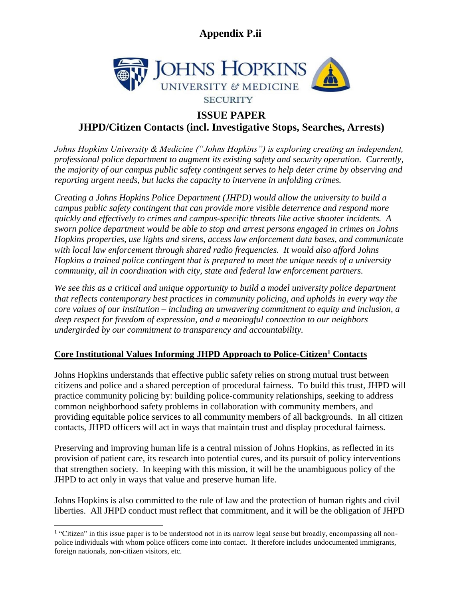

### **ISSUE PAPER**

**JHPD/Citizen Contacts (incl. Investigative Stops, Searches, Arrests)**

*Johns Hopkins University & Medicine ("Johns Hopkins") is exploring creating an independent, professional police department to augment its existing safety and security operation. Currently, the majority of our campus public safety contingent serves to help deter crime by observing and reporting urgent needs, but lacks the capacity to intervene in unfolding crimes.* 

*Creating a Johns Hopkins Police Department (JHPD) would allow the university to build a campus public safety contingent that can provide more visible deterrence and respond more quickly and effectively to crimes and campus-specific threats like active shooter incidents. A sworn police department would be able to stop and arrest persons engaged in crimes on Johns Hopkins properties, use lights and sirens, access law enforcement data bases, and communicate with local law enforcement through shared radio frequencies. It would also afford Johns Hopkins a trained police contingent that is prepared to meet the unique needs of a university community, all in coordination with city, state and federal law enforcement partners.* 

*We see this as a critical and unique opportunity to build a model university police department that reflects contemporary best practices in community policing, and upholds in every way the core values of our institution – including an unwavering commitment to equity and inclusion, a deep respect for freedom of expression, and a meaningful connection to our neighbors – undergirded by our commitment to transparency and accountability.*

### **Core Institutional Values Informing JHPD Approach to Police-Citizen<sup>1</sup> Contacts**

Johns Hopkins understands that effective public safety relies on strong mutual trust between citizens and police and a shared perception of procedural fairness. To build this trust, JHPD will practice community policing by: building police-community relationships, seeking to address common neighborhood safety problems in collaboration with community members, and providing equitable police services to all community members of all backgrounds. In all citizen contacts, JHPD officers will act in ways that maintain trust and display procedural fairness.

Preserving and improving human life is a central mission of Johns Hopkins, as reflected in its provision of patient care, its research into potential cures, and its pursuit of policy interventions that strengthen society. In keeping with this mission, it will be the unambiguous policy of the JHPD to act only in ways that value and preserve human life.

Johns Hopkins is also committed to the rule of law and the protection of human rights and civil liberties. All JHPD conduct must reflect that commitment, and it will be the obligation of JHPD

<sup>&</sup>lt;sup>1</sup> "Citizen" in this issue paper is to be understood not in its narrow legal sense but broadly, encompassing all nonpolice individuals with whom police officers come into contact. It therefore includes undocumented immigrants, foreign nationals, non-citizen visitors, etc.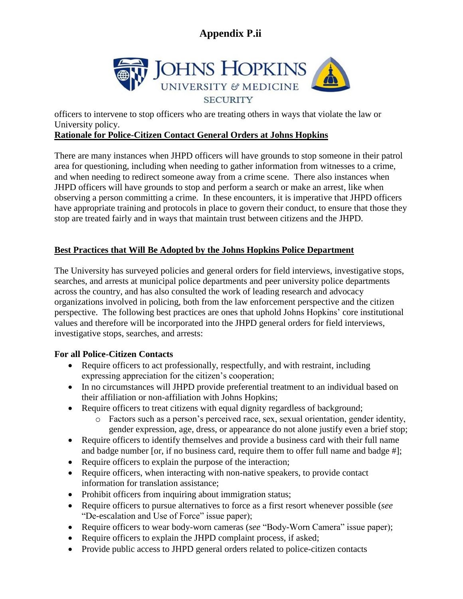

officers to intervene to stop officers who are treating others in ways that violate the law or University policy.

### **Rationale for Police-Citizen Contact General Orders at Johns Hopkins**

There are many instances when JHPD officers will have grounds to stop someone in their patrol area for questioning, including when needing to gather information from witnesses to a crime, and when needing to redirect someone away from a crime scene. There also instances when JHPD officers will have grounds to stop and perform a search or make an arrest, like when observing a person committing a crime. In these encounters, it is imperative that JHPD officers have appropriate training and protocols in place to govern their conduct, to ensure that those they stop are treated fairly and in ways that maintain trust between citizens and the JHPD.

### **Best Practices that Will Be Adopted by the Johns Hopkins Police Department**

The University has surveyed policies and general orders for field interviews, investigative stops, searches, and arrests at municipal police departments and peer university police departments across the country, and has also consulted the work of leading research and advocacy organizations involved in policing, both from the law enforcement perspective and the citizen perspective. The following best practices are ones that uphold Johns Hopkins' core institutional values and therefore will be incorporated into the JHPD general orders for field interviews, investigative stops, searches, and arrests:

### **For all Police-Citizen Contacts**

- Require officers to act professionally, respectfully, and with restraint, including expressing appreciation for the citizen's cooperation;
- In no circumstances will JHPD provide preferential treatment to an individual based on their affiliation or non-affiliation with Johns Hopkins;
- Require officers to treat citizens with equal dignity regardless of background;
	- o Factors such as a person's perceived race, sex, sexual orientation, gender identity, gender expression, age, dress, or appearance do not alone justify even a brief stop;
- Require officers to identify themselves and provide a business card with their full name and badge number [or, if no business card, require them to offer full name and badge #];
- Require officers to explain the purpose of the interaction;
- Require officers, when interacting with non-native speakers, to provide contact information for translation assistance;
- Prohibit officers from inquiring about immigration status;
- Require officers to pursue alternatives to force as a first resort whenever possible (*see* "De-escalation and Use of Force" issue paper);
- Require officers to wear body-worn cameras (*see* "Body-Worn Camera" issue paper);
- Require officers to explain the JHPD complaint process, if asked;
- Provide public access to JHPD general orders related to police-citizen contacts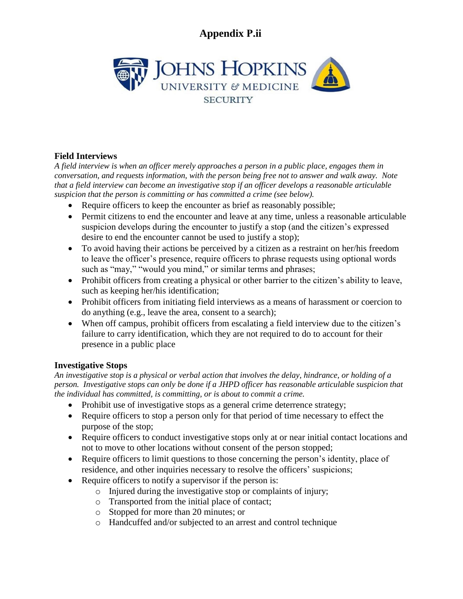

### **Field Interviews**

*A field interview is when an officer merely approaches a person in a public place, engages them in conversation, and requests information, with the person being free not to answer and walk away. Note that a field interview can become an investigative stop if an officer develops a reasonable articulable suspicion that the person is committing or has committed a crime (see below).*

- Require officers to keep the encounter as brief as reasonably possible;
- Permit citizens to end the encounter and leave at any time, unless a reasonable articulable suspicion develops during the encounter to justify a stop (and the citizen's expressed desire to end the encounter cannot be used to justify a stop);
- To avoid having their actions be perceived by a citizen as a restraint on her/his freedom to leave the officer's presence, require officers to phrase requests using optional words such as "may," "would you mind," or similar terms and phrases;
- Prohibit officers from creating a physical or other barrier to the citizen's ability to leave, such as keeping her/his identification;
- Prohibit officers from initiating field interviews as a means of harassment or coercion to do anything (e.g., leave the area, consent to a search);
- When off campus, prohibit officers from escalating a field interview due to the citizen's failure to carry identification, which they are not required to do to account for their presence in a public place

### **Investigative Stops**

*An investigative stop is a physical or verbal action that involves the delay, hindrance, or holding of a person. Investigative stops can only be done if a JHPD officer has reasonable articulable suspicion that the individual has committed, is committing, or is about to commit a crime.*

- Prohibit use of investigative stops as a general crime deterrence strategy;
- Require officers to stop a person only for that period of time necessary to effect the purpose of the stop;
- Require officers to conduct investigative stops only at or near initial contact locations and not to move to other locations without consent of the person stopped;
- Require officers to limit questions to those concerning the person's identity, place of residence, and other inquiries necessary to resolve the officers' suspicions;
- Require officers to notify a supervisor if the person is:
	- o Injured during the investigative stop or complaints of injury;
	- o Transported from the initial place of contact;
	- o Stopped for more than 20 minutes; or
	- o Handcuffed and/or subjected to an arrest and control technique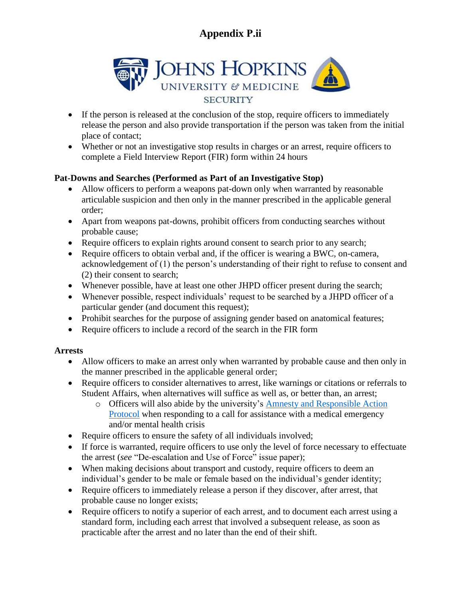

- If the person is released at the conclusion of the stop, require officers to immediately release the person and also provide transportation if the person was taken from the initial place of contact;
- Whether or not an investigative stop results in charges or an arrest, require officers to complete a Field Interview Report (FIR) form within 24 hours

### **Pat-Downs and Searches (Performed as Part of an Investigative Stop)**

- Allow officers to perform a weapons pat-down only when warranted by reasonable articulable suspicion and then only in the manner prescribed in the applicable general order;
- Apart from weapons pat-downs, prohibit officers from conducting searches without probable cause;
- Require officers to explain rights around consent to search prior to any search;
- Require officers to obtain verbal and, if the officer is wearing a BWC, on-camera, acknowledgement of (1) the person's understanding of their right to refuse to consent and (2) their consent to search;
- Whenever possible, have at least one other JHPD officer present during the search;
- Whenever possible, respect individuals' request to be searched by a JHPD officer of a particular gender (and document this request);
- Prohibit searches for the purpose of assigning gender based on anatomical features;
- Require officers to include a record of the search in the FIR form

### **Arrests**

- Allow officers to make an arrest only when warranted by probable cause and then only in the manner prescribed in the applicable general order;
- Require officers to consider alternatives to arrest, like warnings or citations or referrals to Student Affairs, when alternatives will suffice as well as, or better than, an arrest;
	- o Officers will also abide by the university's [Amnesty and Responsible Action](https://studentaffairs.jhu.edu/student-life/alcohol/alcohol-amnesty-policy/) [Protocol](https://studentaffairs.jhu.edu/student-life/alcohol/alcohol-amnesty-policy/) when responding to a call for assistance with a medical emergency and/or mental health crisis
- Require officers to ensure the safety of all individuals involved;
- If force is warranted, require officers to use only the level of force necessary to effectuate the arrest (*see* "De-escalation and Use of Force" issue paper);
- When making decisions about transport and custody, require officers to deem an individual's gender to be male or female based on the individual's gender identity;
- Require officers to immediately release a person if they discover, after arrest, that probable cause no longer exists;
- Require officers to notify a superior of each arrest, and to document each arrest using a standard form, including each arrest that involved a subsequent release, as soon as practicable after the arrest and no later than the end of their shift.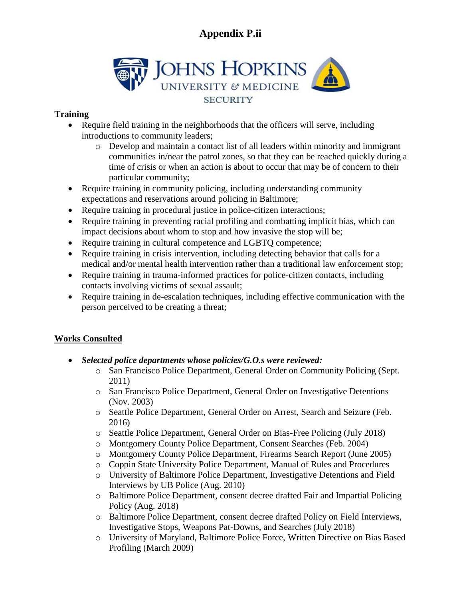

#### **Training**

- Require field training in the neighborhoods that the officers will serve, including introductions to community leaders;
	- o Develop and maintain a contact list of all leaders within minority and immigrant communities in/near the patrol zones, so that they can be reached quickly during a time of crisis or when an action is about to occur that may be of concern to their particular community;
- Require training in community policing, including understanding community expectations and reservations around policing in Baltimore;
- Require training in procedural justice in police-citizen interactions;
- Require training in preventing racial profiling and combatting implicit bias, which can impact decisions about whom to stop and how invasive the stop will be;
- Require training in cultural competence and LGBTQ competence;
- Require training in crisis intervention, including detecting behavior that calls for a medical and/or mental health intervention rather than a traditional law enforcement stop;
- Require training in trauma-informed practices for police-citizen contacts, including contacts involving victims of sexual assault;
- Require training in de-escalation techniques, including effective communication with the person perceived to be creating a threat;

### **Works Consulted**

- *Selected police departments whose policies/G.O.s were reviewed:*
	- o San Francisco Police Department, General Order on Community Policing (Sept. 2011)
	- o San Francisco Police Department, General Order on Investigative Detentions (Nov. 2003)
	- o Seattle Police Department, General Order on Arrest, Search and Seizure (Feb. 2016)
	- o Seattle Police Department, General Order on Bias-Free Policing (July 2018)
	- o Montgomery County Police Department, Consent Searches (Feb. 2004)
	- o Montgomery County Police Department, Firearms Search Report (June 2005)
	- o Coppin State University Police Department, Manual of Rules and Procedures
	- o University of Baltimore Police Department, Investigative Detentions and Field Interviews by UB Police (Aug. 2010)
	- o Baltimore Police Department, consent decree drafted Fair and Impartial Policing Policy (Aug. 2018)
	- o Baltimore Police Department, consent decree drafted Policy on Field Interviews, Investigative Stops, Weapons Pat-Downs, and Searches (July 2018)
	- o University of Maryland, Baltimore Police Force, Written Directive on Bias Based Profiling (March 2009)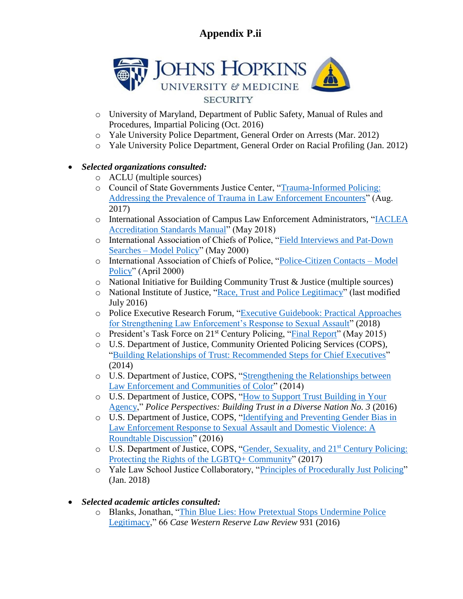

- o University of Maryland, Department of Public Safety, Manual of Rules and Procedures, Impartial Policing (Oct. 2016)
- o Yale University Police Department, General Order on Arrests (Mar. 2012)
- o Yale University Police Department, General Order on Racial Profiling (Jan. 2012)

### *Selected organizations consulted:*

- o ACLU (multiple sources)
- o Council of State Governments Justice Center, ["Trauma-Informed Policing:](http://www.citinternational.org/resources/Documents/Trauma%20Informed%20Policing.pdf) [Addressing the Prevalence of Trauma in Law Enforcement Encounters"](http://www.citinternational.org/resources/Documents/Trauma%20Informed%20Policing.pdf) (Aug. 2017)
- o International Association of Campus Law Enforcement Administrators, ["IACLEA](https://www.iaclea.org/assets/uploads/pdfs/AccreditationStandards%20ManualMay2018.pdf) [Accreditation Standards Manual"](https://www.iaclea.org/assets/uploads/pdfs/AccreditationStandards%20ManualMay2018.pdf) (May 2018)
- o International Association of Chiefs of Police, ["Field Interviews and Pat-Down](https://www.theiacp.org/model-policy/model_policy/field-interviews-and-pat-down-searches/) Searches – [Model Policy"](https://www.theiacp.org/model-policy/model_policy/field-interviews-and-pat-down-searches/) (May 2000)
- o International Association of Chiefs of Police, ["Police-Citizen Contacts –](https://www.theiacp.org/sites/default/files/2018-08/PoliceCitizenPolicy.pdf) Model [Policy"](https://www.theiacp.org/sites/default/files/2018-08/PoliceCitizenPolicy.pdf) (April 2000)
- o National Initiative for Building Community Trust & Justice (multiple sources)
- o National Institute of Justice, ["Race, Trust and Police Legitimacy"](https://www.nij.gov/topics/law-enforcement/legitimacy/Pages/welcome.aspx) (last modified July 2016)
- o Police Executive Research Forum, ["Executive Guidebook: Practical Approaches](https://www.policeforum.org/assets/SexualAssaultResponseExecutiveGuidebook.pdf) [for Strengthening Law Enforcement's Response to Sexual Assault"](https://www.policeforum.org/assets/SexualAssaultResponseExecutiveGuidebook.pdf) (2018)
- o President's Task Force on 21st Century Policing, ["Final Report"](http://elearning-courses.net/iacp/html/webinarResources/170926/FinalReport21stCenturyPolicing.pdf) (May 2015)
- o U.S. Department of Justice, Community Oriented Policing Services (COPS), ["Building Relationships of Trust: Recommended Steps for Chief Executives"](https://ric-zai-inc.com/Publications/cops-w0734-pub.pdf) (2014)
- o U.S. Department of Justice, COPS, ["Strengthening the Relationships between](https://s3.trustandjustice.org/misc/StrengtheningtheRelationshipBetweenLE_CommunitiesofColor-DevelopinganAgendaforAction.pdf) [Law Enforcement and Communities of Color"](https://s3.trustandjustice.org/misc/StrengtheningtheRelationshipBetweenLE_CommunitiesofColor-DevelopinganAgendaforAction.pdf) (2014)
- o U.S. Department of Justice, COPS, ["How to Support Trust Building in Your](https://s3.trustandjustice.org/misc/COPS_BuildingTrustAgency.pdf) [Agency,](https://s3.trustandjustice.org/misc/COPS_BuildingTrustAgency.pdf)" *Police Perspectives: Building Trust in a Diverse Nation No. 3* (2016)
- o U.S. Department of Justice, COPS, ["Identifying and Preventing Gender Bias in](https://ric-zai-inc.com/Publications/cops-w0796-pub.pdf) [Law Enforcement Response to Sexual Assault and Domestic Violence: A](https://ric-zai-inc.com/Publications/cops-w0796-pub.pdf) [Roundtable Discussion"](https://ric-zai-inc.com/Publications/cops-w0796-pub.pdf) (2016)
- o U.S. Department of Justice, COPS, ["Gender, Sexuality, and 21](https://ric-zai-inc.com/Publications/cops-w0837-pub.pdf)st Century Policing: [Protecting the Rights of the LGBTQ+](https://ric-zai-inc.com/Publications/cops-w0837-pub.pdf) Community" (2017)
- o Yale Law School Justice Collaboratory, ["Principles of Procedurally Just Policing"](https://law.yale.edu/system/files/area/center/justice/principles_of_procedurally_just_policing_report.pdf) (Jan. 2018)
- *Selected academic articles consulted:*
	- o Blanks, Jonathan, ["Thin Blue Lies: How Pretextual Stops Undermine Police](https://object.cato.org/sites/cato.org/files/articles/blanks-cwrlr-v66n4.pdf) [Legitimacy,](https://object.cato.org/sites/cato.org/files/articles/blanks-cwrlr-v66n4.pdf)" 66 *Case Western Reserve Law Review* 931 (2016)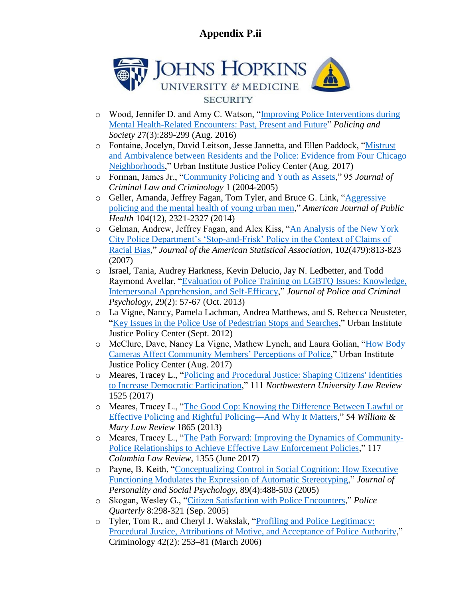

- o Wood, Jennifer D. and Amy C. Watson, ["Improving Police Interventions during](https://www.trincoll.edu/Academics/centers/TIIS/Documents/Sept%2019%20event%20Improving%20police%20interventions%20during%20mental%20health%20related%20encounters%20past%20present%20and%20future.pdf) [Mental Health-Related Encounters: Past, Present and Future"](https://www.trincoll.edu/Academics/centers/TIIS/Documents/Sept%2019%20event%20Improving%20police%20interventions%20during%20mental%20health%20related%20encounters%20past%20present%20and%20future.pdf) *Policing and Society* 27(3):289-299 (Aug. 2016)
- o Fontaine, Jocelyn, David Leitson, Jesse Jannetta, and Ellen Paddock, ["Mistrust](https://www.urban.org/sites/default/files/publication/92316/2017.07.31_legitimacy_brief_finalized_1.pdf) [and Ambivalence between Residents and the Police: Evidence from Four Chicago](https://www.urban.org/sites/default/files/publication/92316/2017.07.31_legitimacy_brief_finalized_1.pdf) [Neighborhoods,](https://www.urban.org/sites/default/files/publication/92316/2017.07.31_legitimacy_brief_finalized_1.pdf)" Urban Institute Justice Policy Center (Aug. 2017)
- o Forman, James Jr., ["Community Policing and Youth as Assets,](https://scholarlycommons.law.northwestern.edu/cgi/viewcontent.cgi?referer=&httpsredir=1&article=7175&context=jclc)" 95 *Journal of Criminal Law and Criminology* 1 (2004-2005)
- o Geller, Amanda, Jeffrey Fagan, Tom Tyler, and Bruce G. Link, ["Aggressive](https://www.ncbi.nlm.nih.gov/pmc/articles/PMC4232139/) [policing and the mental health of young urban men,](https://www.ncbi.nlm.nih.gov/pmc/articles/PMC4232139/)" *American Journal of Public Health* 104(12), 2321-2327 (2014)
- o Gelman, Andrew, Jeffrey Fagan, and Alex Kiss, ["An Analysis of the New York](http://www.stat.columbia.edu/~gelman/research/published/frisk9.pdf) [City Police Department's 'Stop-and-Frisk' Policy in the Context of Claims of](http://www.stat.columbia.edu/~gelman/research/published/frisk9.pdf) [Racial Bias,](http://www.stat.columbia.edu/~gelman/research/published/frisk9.pdf)" *Journal of the American Statistical Association*, 102(479):813-823 (2007)
- o Israel, Tania, Audrey Harkness, Kevin Delucio, Jay N. Ledbetter, and Todd Raymond Avellar, ["Evaluation of Police Training on LGBTQ Issues: Knowledge,](https://link.springer.com/article/10.1007/s11896-013-9132-z) [Interpersonal Apprehension, and Self-Efficacy,](https://link.springer.com/article/10.1007/s11896-013-9132-z)" *Journal of Police and Criminal Psychology*, 29(2): 57-67 (Oct. 2013)
- o La Vigne, Nancy, Pamela Lachman, Andrea Matthews, and S. Rebecca Neusteter, ["Key Issues in the Police Use of Pedestrian Stops and Searches,](https://www.urban.org/sites/default/files/publication/25781/412647-Key-Issues-in-the-Police-Use-of-Pedestrian-Stops-and-Searches.PDF)" Urban Institute Justice Policy Center (Sept. 2012)
- o McClure, Dave, Nancy La Vigne, Mathew Lynch, and Laura Golian, ["How Body](https://www.urban.org/sites/default/files/publication/91331/2001307-how-body-cameras-affect-community-members-perceptions-of-police_5.pdf) [Cameras Affect Community Members' Perceptions of Police,](https://www.urban.org/sites/default/files/publication/91331/2001307-how-body-cameras-affect-community-members-perceptions-of-police_5.pdf)" Urban Institute Justice Policy Center (Aug. 2017)
- o Meares, Tracey L., ["Policing and Procedural Justice: Shaping Citizens' Identities](https://scholarlycommons.law.northwestern.edu/nulr/vol111/iss6/8/) [to Increase Democratic Participation,](https://scholarlycommons.law.northwestern.edu/nulr/vol111/iss6/8/)" 111 *Northwestern University Law Review* 1525 (2017)
- o Meares, Tracey L., ["The Good Cop: Knowing the Difference Between Lawful or](https://scholarship.law.wm.edu/wmlr/vol54/iss6/3/) [Effective Policing and Rightful Policing—And Why It Matters,](https://scholarship.law.wm.edu/wmlr/vol54/iss6/3/)" 54 *William & Mary Law Review* 1865 (2013)
- o Meares, Tracey L., ["The Path Forward: Improving the Dynamics of Community-](https://columbialawreview.org/content/the-path-forward-improving-the-dynamics-of-community-police-relationships-to-achieve-effective-law-enforcement-policies/)[Police Relationships to Achieve Effective Law Enforcement Policies,](https://columbialawreview.org/content/the-path-forward-improving-the-dynamics-of-community-police-relationships-to-achieve-effective-law-enforcement-policies/)" 117 *Columbia Law Review*, 1355 (June 2017)
- o Payne, B. Keith, ["Conceptualizing Control in Social Cognition: How Executive](https://www.ncbi.nlm.nih.gov/pubmed/16287413) [Functioning Modulates the Expression of Automatic Stereotyping,](https://www.ncbi.nlm.nih.gov/pubmed/16287413)" *Journal of Personality and Social Psychology*, 89(4):488-503 (2005)
- o Skogan, Wesley G., ["Citizen Satisfaction with Police Encounters,](http://journals.sagepub.com/doi/abs/10.1177/1098611104271086)" *Police Quarterly* 8:298-321 (Sep. 2005)
- o Tyler, Tom R., and Cheryl J. Wakslak, ["Profiling and Police Legitimacy:](https://onlinelibrary.wiley.com/doi/abs/10.1111/j.1745-9125.2004.tb00520.x) [Procedural Justice, Attributions of Motive, and Acceptance of Police Authority,](https://onlinelibrary.wiley.com/doi/abs/10.1111/j.1745-9125.2004.tb00520.x)" Criminology 42(2): 253–81 (March 2006)